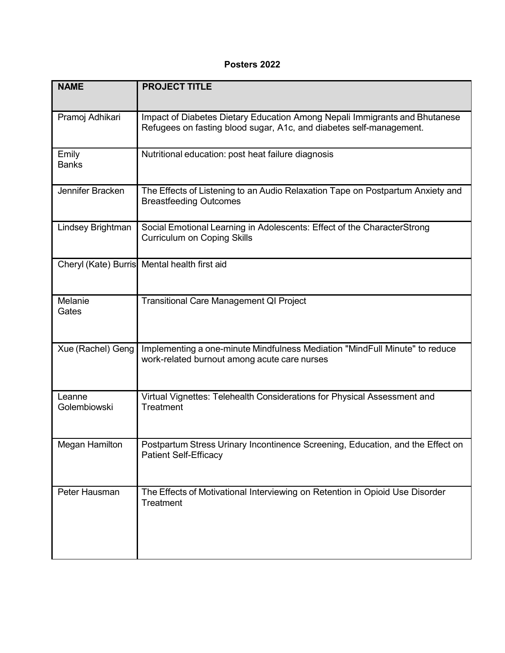## **Posters 2022**

| <b>NAME</b>            | <b>PROJECT TITLE</b>                                                                                                                              |
|------------------------|---------------------------------------------------------------------------------------------------------------------------------------------------|
| Pramoj Adhikari        | Impact of Diabetes Dietary Education Among Nepali Immigrants and Bhutanese<br>Refugees on fasting blood sugar, A1c, and diabetes self-management. |
| Emily<br><b>Banks</b>  | Nutritional education: post heat failure diagnosis                                                                                                |
| Jennifer Bracken       | The Effects of Listening to an Audio Relaxation Tape on Postpartum Anxiety and<br><b>Breastfeeding Outcomes</b>                                   |
| Lindsey Brightman      | Social Emotional Learning in Adolescents: Effect of the CharacterStrong<br><b>Curriculum on Coping Skills</b>                                     |
|                        | Cheryl (Kate) Burris Mental health first aid                                                                                                      |
| Melanie<br>Gates       | <b>Transitional Care Management QI Project</b>                                                                                                    |
| Xue (Rachel) Geng      | Implementing a one-minute Mindfulness Mediation "MindFull Minute" to reduce<br>work-related burnout among acute care nurses                       |
| Leanne<br>Golembiowski | Virtual Vignettes: Telehealth Considerations for Physical Assessment and<br>Treatment                                                             |
| Megan Hamilton         | Postpartum Stress Urinary Incontinence Screening, Education, and the Effect on<br><b>Patient Self-Efficacy</b>                                    |
| Peter Hausman          | The Effects of Motivational Interviewing on Retention in Opioid Use Disorder<br>Treatment                                                         |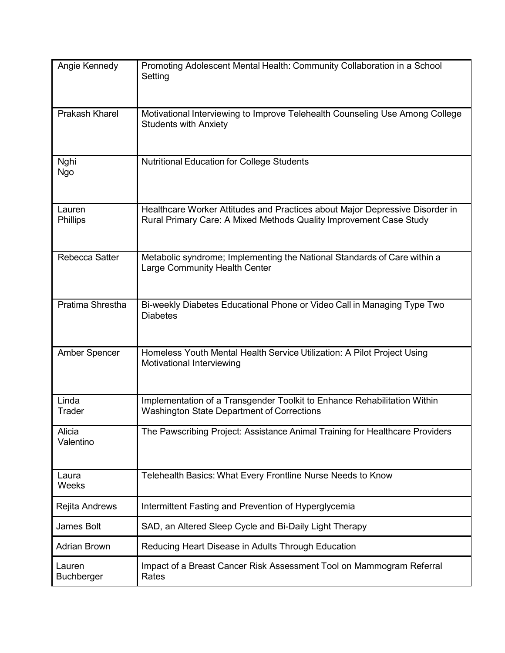| Angie Kennedy               | Promoting Adolescent Mental Health: Community Collaboration in a School<br>Setting                                                                 |
|-----------------------------|----------------------------------------------------------------------------------------------------------------------------------------------------|
| <b>Prakash Kharel</b>       | Motivational Interviewing to Improve Telehealth Counseling Use Among College<br><b>Students with Anxiety</b>                                       |
| Nghi<br>Ngo                 | <b>Nutritional Education for College Students</b>                                                                                                  |
| Lauren<br><b>Phillips</b>   | Healthcare Worker Attitudes and Practices about Major Depressive Disorder in<br>Rural Primary Care: A Mixed Methods Quality Improvement Case Study |
| Rebecca Satter              | Metabolic syndrome; Implementing the National Standards of Care within a<br>Large Community Health Center                                          |
| Pratima Shrestha            | Bi-weekly Diabetes Educational Phone or Video Call in Managing Type Two<br><b>Diabetes</b>                                                         |
| <b>Amber Spencer</b>        | Homeless Youth Mental Health Service Utilization: A Pilot Project Using<br>Motivational Interviewing                                               |
| Linda<br>Trader             | Implementation of a Transgender Toolkit to Enhance Rehabilitation Within<br><b>Washington State Department of Corrections</b>                      |
| Alicia<br>Valentino         | The Pawscribing Project: Assistance Animal Training for Healthcare Providers                                                                       |
| Laura<br>Weeks              | Telehealth Basics: What Every Frontline Nurse Needs to Know                                                                                        |
| Rejita Andrews              | Intermittent Fasting and Prevention of Hyperglycemia                                                                                               |
| James Bolt                  | SAD, an Altered Sleep Cycle and Bi-Daily Light Therapy                                                                                             |
| <b>Adrian Brown</b>         | Reducing Heart Disease in Adults Through Education                                                                                                 |
| Lauren<br><b>Buchberger</b> | Impact of a Breast Cancer Risk Assessment Tool on Mammogram Referral<br>Rates                                                                      |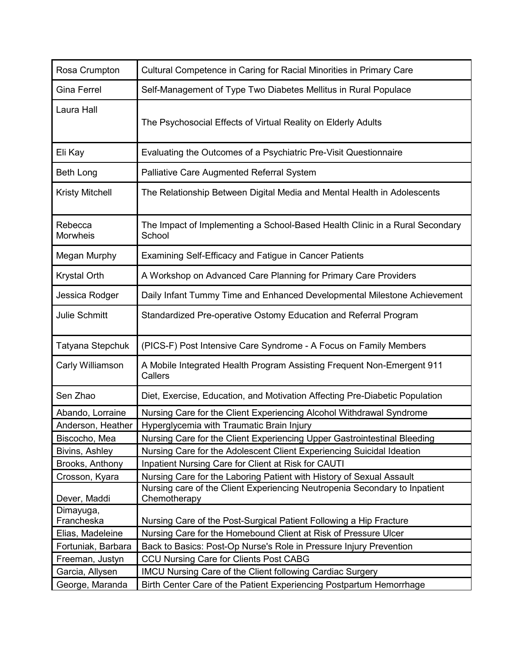| Rosa Crumpton          | Cultural Competence in Caring for Racial Minorities in Primary Care                        |
|------------------------|--------------------------------------------------------------------------------------------|
| <b>Gina Ferrel</b>     | Self-Management of Type Two Diabetes Mellitus in Rural Populace                            |
| Laura Hall             | The Psychosocial Effects of Virtual Reality on Elderly Adults                              |
| Eli Kay                | Evaluating the Outcomes of a Psychiatric Pre-Visit Questionnaire                           |
| <b>Beth Long</b>       | <b>Palliative Care Augmented Referral System</b>                                           |
| <b>Kristy Mitchell</b> | The Relationship Between Digital Media and Mental Health in Adolescents                    |
| Rebecca<br>Morwheis    | The Impact of Implementing a School-Based Health Clinic in a Rural Secondary<br>School     |
| Megan Murphy           | <b>Examining Self-Efficacy and Fatigue in Cancer Patients</b>                              |
| Krystal Orth           | A Workshop on Advanced Care Planning for Primary Care Providers                            |
| Jessica Rodger         | Daily Infant Tummy Time and Enhanced Developmental Milestone Achievement                   |
| <b>Julie Schmitt</b>   | Standardized Pre-operative Ostomy Education and Referral Program                           |
| Tatyana Stepchuk       | (PICS-F) Post Intensive Care Syndrome - A Focus on Family Members                          |
| Carly Williamson       | A Mobile Integrated Health Program Assisting Frequent Non-Emergent 911<br>Callers          |
| Sen Zhao               | Diet, Exercise, Education, and Motivation Affecting Pre-Diabetic Population                |
| Abando, Lorraine       | Nursing Care for the Client Experiencing Alcohol Withdrawal Syndrome                       |
| Anderson, Heather      | Hyperglycemia with Traumatic Brain Injury                                                  |
| Biscocho, Mea          | Nursing Care for the Client Experiencing Upper Gastrointestinal Bleeding                   |
| Bivins, Ashley         | Nursing Care for the Adolescent Client Experiencing Suicidal Ideation                      |
| Brooks, Anthony        | Inpatient Nursing Care for Client at Risk for CAUTI                                        |
| Crosson, Kyara         | Nursing Care for the Laboring Patient with History of Sexual Assault                       |
| Dever, Maddi           | Nursing care of the Client Experiencing Neutropenia Secondary to Inpatient<br>Chemotherapy |
| Dimayuga,              |                                                                                            |
| Francheska             | Nursing Care of the Post-Surgical Patient Following a Hip Fracture                         |
| Elias, Madeleine       | Nursing Care for the Homebound Client at Risk of Pressure Ulcer                            |
| Fortuniak, Barbara     | Back to Basics: Post-Op Nurse's Role in Pressure Injury Prevention                         |
| Freeman, Justyn        | <b>CCU Nursing Care for Clients Post CABG</b>                                              |
| Garcia, Allysen        | IMCU Nursing Care of the Client following Cardiac Surgery                                  |
| George, Maranda        | Birth Center Care of the Patient Experiencing Postpartum Hemorrhage                        |